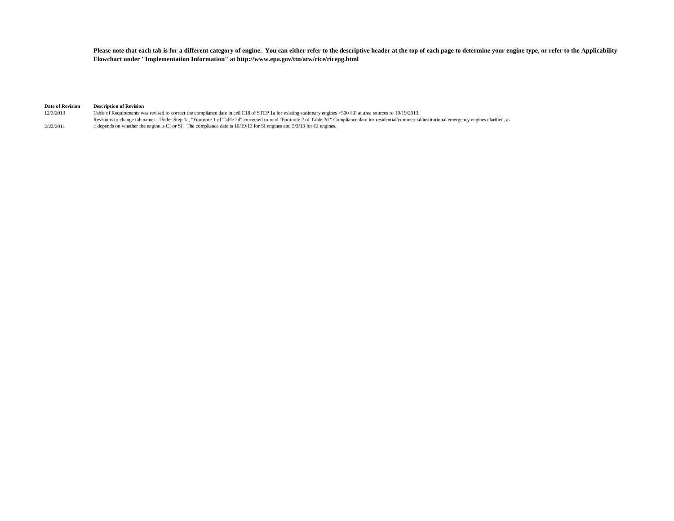**Please note that each tab is for a different category of engine. You can either refer to the descriptive header at the top of each page to determine your engine type, or refer to the Applicability Flowchart under "Implementation Information" at http://www.epa.gov/ttn/atw/rice/ricepg.html**

## **Date of Revision Description of Revision**<br>12/3/2010 **Table of Requirements was**

Table of Requirements was revised to correct the compliance date in cell C18 of STEP 1a for existing stationary engines >500 HP at area sources to 10/19/2013. 2/22/2011 Revisions to change tab names. Under Step 1a, "Footnote 1 of Table 2d" corrected to read "Footnote 2 of Table 2d." Compliance date for residential/commercial/institutional emergency engines clarified, as it depends on whether the engine is CI or SI. The compliance date is 10/19/13 for SI engines and 5/3/13 for CI engines.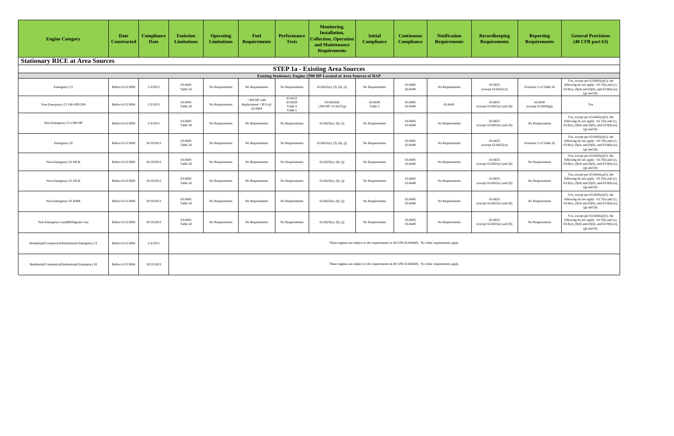| <b>Engine Category</b>                                                                                                                                                                                                                                                                                                                                                                                                                                                                                                                | <b>Date</b><br><b>Constructed</b> | <b>Compliance</b><br>Date | <b>Emission</b><br>Limitations | <b>Operating</b><br><b>Limitations</b> | <b>Fuel</b><br><b>Requirements</b>                 | <b>Performance</b><br><b>Tests</b>       | <b>Monitoring,</b><br><b>Installation,</b><br><b>Collection, Operation</b><br>and Maintenance<br><b>Requirements</b> | <b>Initial</b><br><b>Compliance</b>                                                                 | <b>Continuous</b><br><b>Compliance</b> | <b>Notification</b><br><b>Requirements</b> | <b>Recordkeeping</b><br><b>Requirements</b> | <b>Reporting</b><br><b>Requirements</b> | <b>General Provisions</b><br>$(40 \text{ CFR part } 63)$                                                                                                     |
|---------------------------------------------------------------------------------------------------------------------------------------------------------------------------------------------------------------------------------------------------------------------------------------------------------------------------------------------------------------------------------------------------------------------------------------------------------------------------------------------------------------------------------------|-----------------------------------|---------------------------|--------------------------------|----------------------------------------|----------------------------------------------------|------------------------------------------|----------------------------------------------------------------------------------------------------------------------|-----------------------------------------------------------------------------------------------------|----------------------------------------|--------------------------------------------|---------------------------------------------|-----------------------------------------|--------------------------------------------------------------------------------------------------------------------------------------------------------------|
| <b>Stationary RICE at Area Sources</b>                                                                                                                                                                                                                                                                                                                                                                                                                                                                                                |                                   |                           |                                |                                        |                                                    |                                          |                                                                                                                      |                                                                                                     |                                        |                                            |                                             |                                         |                                                                                                                                                              |
|                                                                                                                                                                                                                                                                                                                                                                                                                                                                                                                                       |                                   |                           |                                |                                        |                                                    |                                          | <b>STEP 1a - Existing Area Sources</b>                                                                               |                                                                                                     |                                        |                                            |                                             |                                         |                                                                                                                                                              |
|                                                                                                                                                                                                                                                                                                                                                                                                                                                                                                                                       |                                   |                           |                                |                                        |                                                    |                                          | Existing Stationary Engine ≤500 HP Located at Area Sources of HAP                                                    |                                                                                                     |                                        |                                            |                                             |                                         |                                                                                                                                                              |
| Emergency CI                                                                                                                                                                                                                                                                                                                                                                                                                                                                                                                          | Before 6/12/2006                  | 5/3/2013                  | 63.6603<br>Table 2d            | No Requirements                        | No Requirements                                    | No Requirements                          | $63.6625(e)$ , (f), (h), (i)                                                                                         | No Requirements                                                                                     | 63.6605<br>63.6640                     | No Requirements                            | 63.6655<br>(except 63.6655(c))              | Footnote 2 of Table 2d                  | Yes, except per $63.6645(a)(5)$ , the<br>following do not apply: 63.7(b) and (c),<br>$63.8(e)$ , (f)(4) and (f)(6), and 63.9(b)-(e),<br>$(g)$ and $(h)$ .    |
| Non-Emergency CI 300 <hp≤500< td=""><td>Before 6/12/2006</td><td>5/3/2013</td><td>63.6603<br/>Table 2d</td><td>No Requirements</td><td>&gt;300 HP with<br/>displacement &lt;30 l/cyl:<br/>63.6604</td><td>63.6612<br/>63.6620<br/>Table 4<br/>Table 5</td><td>63.6625(h)<br/><math>\geq</math>300 HP: 63.6625(g)</td><td>63.6630<br/>Table 5</td><td>63.6605<br/>63.6640</td><td>63.6645</td><td>63.6655<br/>(except <math>63.6655(c)</math> and <math>(f)</math>)</td><td>63.6650<br/>(except 63.6650(g))</td><td>Yes</td></hp≤500<> | Before 6/12/2006                  | 5/3/2013                  | 63.6603<br>Table 2d            | No Requirements                        | >300 HP with<br>displacement <30 l/cyl:<br>63.6604 | 63.6612<br>63.6620<br>Table 4<br>Table 5 | 63.6625(h)<br>$\geq$ 300 HP: 63.6625(g)                                                                              | 63.6630<br>Table 5                                                                                  | 63.6605<br>63.6640                     | 63.6645                                    | 63.6655<br>(except $63.6655(c)$ and $(f)$ ) | 63.6650<br>(except 63.6650(g))          | Yes                                                                                                                                                          |
| Non-Emergency $CI \leq 300$ HP                                                                                                                                                                                                                                                                                                                                                                                                                                                                                                        | Before 6/12/2006                  | 5/3/2013                  | 63.6603<br>Table 2d            | No Requirements                        | No Requirements                                    | No Requirements                          | $63.6625(e)$ , (h), (i)                                                                                              | No Requirements                                                                                     | 63.6605<br>63.6640                     | No Requirements                            | 63.6655<br>(except $63.6655(c)$ and $(f)$ ) | No Requirements                         | Yes, except per $63.6645(a)(5)$ , the<br>following do not apply: 63.7(b) and (c),<br>63.8(e), (f)(4) and (f)(6), and 63.9(b)-(e),<br>$(g)$ and $(h)$ .       |
| Emergency SI                                                                                                                                                                                                                                                                                                                                                                                                                                                                                                                          | Before 6/12/2006                  | 10/19/2013                | 63.6603<br>Table 2d            | No Requirements                        | No Requirements                                    | No Requirements                          | $63.6625(e)$ , (f), (h), (j)                                                                                         | No Requirements                                                                                     | 63.6605<br>63.6640                     | No Requirements                            | 63.6655<br>(except 63.6655(c))              | Footnote 2 of Table 2d                  | Yes, except per $63.6645(a)(5)$ , the<br>following do not apply: 63.7(b) and (c),<br>$63.8(e)$ , (f)(4) and (f)(6), and $63.9(b)-(e)$ ,<br>$(g)$ and $(h)$ . |
| Non-Emergency SI 4SLB                                                                                                                                                                                                                                                                                                                                                                                                                                                                                                                 | Before 6/12/2006                  | 10/19/2013                | 63.6603<br>Table 2d            | No Requirements                        | No Requirements                                    | No Requirements                          | $63.6625(e)$ , (h), (j)                                                                                              | No Requirements                                                                                     | 63.6605<br>63.6640                     | No Requirements                            | 63.6655<br>(except $63.6655(c)$ and $(f)$ ) | No Requirements                         | Yes, except per $63.6645(a)(5)$ , the<br>following do not apply: 63.7(b) and (c),<br>63.8(e), (f)(4) and (f)(6), and 63.9(b)-(e),<br>$(g)$ and $(h)$ .       |
| Non-Emergency SI 2SLB                                                                                                                                                                                                                                                                                                                                                                                                                                                                                                                 | Before 6/12/2006                  | 10/19/2013                | 63.6603<br>Table 2d            | No Requirements                        | No Requirements                                    | No Requirements                          | $63.6625(e)$ , (h), (j)                                                                                              | No Requirements                                                                                     | 63.6605<br>63.6640                     | No Requirements                            | 63.6655<br>(except $63.6655(c)$ and $(f)$ ) | No Requirements                         | Yes, except per $63.6645(a)(5)$ , the<br>following do not apply: $63.7(b)$ and (c),<br>63.8(e), (f)(4) and (f)(6), and 63.9(b)-(e),<br>$(g)$ and $(h)$ .     |
| Non-Emergency SI 4SRB                                                                                                                                                                                                                                                                                                                                                                                                                                                                                                                 | Before 6/12/2006                  | 10/19/2013                | 63.6603<br>Table 2d            | No Requirements                        | No Requirements                                    | No Requirements                          | $63.6625(e)$ , (h), (j)                                                                                              | No Requirements                                                                                     | 63.6605<br>63.6640                     | No Requirements                            | 63.6655<br>(except $63.6655(c)$ and $(f)$ ) | No Requirements                         | Yes, except per $63.6645(a)(5)$ , the<br>following do not apply: $63.7(b)$ and (c),<br>63.8(e), (f)(4) and (f)(6), and 63.9(b)-(e),<br>$(g)$ and $(h)$ .     |
| Non-Emergency Landfill/Digester Gas                                                                                                                                                                                                                                                                                                                                                                                                                                                                                                   | Before 6/12/2006                  | 10/19/2013                | 63.6603<br>Table 2d            | No Requirements                        | No Requirements                                    | No Requirements                          | $63.6625(e)$ , (h), (j)                                                                                              | No Requirements                                                                                     | 63.6605<br>63.6640                     | No Requirements                            | 63.6655<br>(except $63.6655(c)$ and $(f)$ ) | No Requirements                         | Yes, except per $63.6645(a)(5)$ , the<br>following do not apply: 63.7(b) and (c),<br>$63.8(e)$ , (f)(4) and (f)(6), and 63.9(b)-(e),<br>$(g)$ and $(h)$ .    |
| Residential/Commerical/Institutional Emergency CI                                                                                                                                                                                                                                                                                                                                                                                                                                                                                     | Before 6/12/2006                  | 5/3/2013                  |                                |                                        |                                                    |                                          |                                                                                                                      | These engines are subject to the requirements in 40 CFR $63.6640(f)$ . No other requirements apply. |                                        |                                            |                                             |                                         |                                                                                                                                                              |
| Residential/Commerical/Institutional Emergency SI                                                                                                                                                                                                                                                                                                                                                                                                                                                                                     | Before 6/12/2006                  | 10/19/2013                |                                |                                        |                                                    |                                          |                                                                                                                      | These engines are subject to the requirements in 40 CFR 63.6640(f). No other requirements apply.    |                                        |                                            |                                             |                                         |                                                                                                                                                              |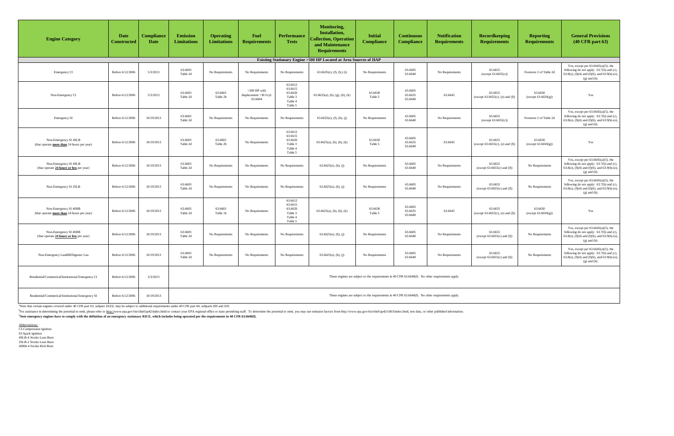| <b>Engine Category</b>                                              | <b>Date</b><br><b>Constructed</b> | <b>Compliance</b><br><b>Date</b> | <b>Emission</b><br><b>Limitations</b> | <b>Operating</b><br><b>Limitations</b> | <b>Fuel</b><br><b>Requirements</b>                   | <b>Performance</b><br><b>Tests</b>                             | <b>Monitoring,</b><br><b>Installation,</b><br><b>Collection, Operation</b><br>and Maintenance<br><b>Requirements</b> | <b>Initial</b><br><b>Compliance</b>                                                              | <b>Continuous</b><br><b>Compliance</b> | <b>Notification</b><br><b>Requirements</b> | <b>Recordkeeping</b><br><b>Requirements</b>    | <b>Reporting</b><br><b>Requirements</b> | <b>General Provisions</b><br>$(40 \text{ CFR part } 63)$                                                                                                    |
|---------------------------------------------------------------------|-----------------------------------|----------------------------------|---------------------------------------|----------------------------------------|------------------------------------------------------|----------------------------------------------------------------|----------------------------------------------------------------------------------------------------------------------|--------------------------------------------------------------------------------------------------|----------------------------------------|--------------------------------------------|------------------------------------------------|-----------------------------------------|-------------------------------------------------------------------------------------------------------------------------------------------------------------|
|                                                                     |                                   |                                  |                                       |                                        |                                                      |                                                                | Existing Stationary Engine > 500 HP Located at Area Sources of HAP                                                   |                                                                                                  |                                        |                                            |                                                |                                         |                                                                                                                                                             |
| Emergency CI                                                        | Before 6/12/2006                  | 5/3/2013                         | 63.6603<br>Table 2d                   | No Requirements                        | No Requirements                                      | No Requirements                                                | $63.6625(e)$ , (f), (h,) (i)                                                                                         | No Requirements                                                                                  | 63.6605<br>63.6640                     | No Requirements                            | 63.6655<br>(except 63.6655(c))                 | Footnote 2 of Table 2d                  | Yes, except per $63.6645(a)(5)$ , the<br>following do not apply: 63.7(b) and (c),<br>63.8(e), (f)(4) and (f)(6), and 63.9(b)-(e),<br>$(g)$ and $(h)$ .      |
| Non-Emergency CI                                                    | Before 6/12/2006                  | 5/3/2013                         | 63.6603<br>Table 2d                   | 63.6603<br>Table 2b                    | $>300$ HP with<br>displacement <30 l/cyl:<br>63.6604 | 63.6612<br>63.6615<br>63.6620<br>Table 3<br>Table 4<br>Table 5 | $63.6625(a)$ , (b), (g), (h), (k)                                                                                    | 63.6630<br>Table 5                                                                               | 63.6605<br>63.6635<br>63.6640          | 63.6645                                    | 63.6655<br>(except $63.6655(c)$ , (e) and (f)) | 63.6650<br>(except 63.6650(g))          | Yes                                                                                                                                                         |
| <b>Emergency SI</b>                                                 | Before 6/12/2006                  | 10/19/2013                       | 63.6603<br>Table 2d                   | No Requirements                        | No Requirements                                      | No Requirements                                                | $63.6625(e)$ , (f), (h), (j)                                                                                         | No Requirements                                                                                  | 63.6605<br>63.6640                     | No Requirements                            | 63.6655<br>(except $63.6655(c)$ )              | Footnote 2 of Table 2d                  | Yes, except per $63.6645(a)(5)$ , the<br>following do not apply: 63.7(b) and (c),<br>63.8(e), (f)(4) and (f)(6), and 63.9(b)-(e),<br>$(g)$ and $(h)$ .      |
| Non-Emergency SI 4SLB<br>(that operate more than 24 hours per year) | Before 6/12/2006                  | 10/19/2013                       | 63.6603<br>Table 2d                   | 63.6603<br>Table 2b                    | No Requirements                                      | 63.6612<br>63.6615<br>63.6620<br>Table 3<br>Table 4<br>Table 5 | $63.6625(a)$ , (b), (h), (k)                                                                                         | 63.6630<br>Table 5                                                                               | 63.6605<br>63.6635<br>63.6640          | 63.6645                                    | 63.6655<br>(except $63.6655(c)$ , (e) and (f)) | 63.6650<br>(except 63.6650(g))          | Yes                                                                                                                                                         |
| Non-Emergency SI 4SLB<br>(that operate 24 hours or less per year)   | Before 6/12/2006                  | 10/19/2013                       | 63.6603<br>Table 2d                   | No Requirements                        | No Requirements                                      | No Requirements                                                | $63.6625(e)$ , (h), (j)                                                                                              | No Requirements                                                                                  | 63.6605<br>63.6640                     | No Requirements                            | 63.6655<br>(except $63.6655(c)$ and $(f)$ )    | No Requirements                         | Yes, except per $63.6645(a)(5)$ , the<br>following do not apply: 63.7(b) and (c),<br>63.8(e), $(f)(4)$ and $(f)(6)$ , and 63.9(b)-(e),<br>$(g)$ and $(h)$ . |
| Non-Emergency SI 2SLB                                               | Before 6/12/2006                  | 10/19/2013                       | 63.6603<br>Table 2d                   | No Requirements                        | No Requirements                                      | No Requirements                                                | $63.6625(e)$ , (h), (j)                                                                                              | No Requirements                                                                                  | 63.6605<br>63.6640                     | No Requirements                            | 63.6655<br>(except $63.6655(c)$ and $(f)$ )    | No Requirements                         | Yes, except per $63.6645(a)(5)$ , the<br>following do not apply: 63.7(b) and (c),<br>63.8(e), (f)(4) and (f)(6), and 63.9(b)-(e),<br>$(g)$ and $(h)$ .      |
| Non-Emergency SI 4SRB<br>(that operate more than 24 hours per year) | Before 6/12/2006                  | 10/19/2013                       | 63.6603<br>Table 2d                   | 63.6603<br>Table 1b                    | No Requirements                                      | 63.6612<br>63.6615<br>63.6620<br>Table 3<br>Table 4<br>Table 5 | $63.6625(a)$ , (b), (h), (k)                                                                                         | 63.6630<br>Table 5                                                                               | 63.6605<br>63.6635<br>63.6640          | 63.6645                                    | 63.6655<br>(except $63.6655(c)$ , (e) and (f)) | 63.6650<br>(except 63.6650(g))          | Yes                                                                                                                                                         |
| Non-Emergency SI 4SRB<br>(that operate 24 hours or less per year)   | Before 6/12/2006                  | 10/19/2013                       | 63.6603<br>Table 2d                   | No Requirements                        | No Requirements                                      | No Requirements                                                | $63.6625(e)$ , (h), (j)                                                                                              | No Requirements                                                                                  | 63.6605<br>63.6640                     | No Requirements                            | 63.6655<br>(except $63.6655(c)$ and $(f)$ )    | No Requirements                         | Yes, except per $63.6645(a)(5)$ , the<br>following do not apply: 63.7(b) and (c),<br>63.8(e), (f)(4) and (f)(6), and 63.9(b)-(e),<br>$(g)$ and $(h)$ .      |
| Non-Emergency Landfill/Digester Gas                                 | Before 6/12/2006                  | 10/19/2013                       | 63.6603<br>Table 2d                   | No Requirements                        | No Requirements                                      | No Requirements                                                | $63.6625(e)$ , (h), (j)                                                                                              | No Requirements                                                                                  | 63.6605<br>63.6640                     | No Requirements                            | 63.6655<br>(except $63.6655(c)$ and $(f)$ )    | No Requirements                         | Yes, except per $63.6645(a)(5)$ , the<br>following do not apply: 63.7(b) and (c),<br>63.8(e), (f)(4) and (f)(6), and 63.9(b)-(e),<br>$(g)$ and $(h)$ .      |
| Residential/Commerical/Institutional Emergency CI                   | Before 6/12/2006                  | 5/3/2013                         |                                       |                                        |                                                      |                                                                |                                                                                                                      | These engines are subject to the requirements in 40 CFR 63.6640(f). No other requirements apply. |                                        |                                            |                                                |                                         |                                                                                                                                                             |
| Residential/Commerical/Institutional Emergency SI                   | Before 6/12/2006                  | 10/19/2013                       |                                       |                                        |                                                      |                                                                |                                                                                                                      | These engines are subject to the requirements in 40 CFR 63.6640(f). No other requirements apply. |                                        |                                            |                                                |                                         |                                                                                                                                                             |

<sup>b</sup>For assistance in determining the potential to emit, please refer to http://www.epa.gov/ttn/chief/ap42/index.html or contact your EPA regional office or state permitting staff. To determine the potential to emit, you ma <sup>c</sup>Note emergency engines have to comply with the definition of an emergency stationary RICE, which includes being operated per the requirements in 40 CFR 63.6640(f).

Abbreviations: CI-Compression Ignition SI-Spark Ignition 4SLB-4 Stroke Lean Burn 2SLB-2 Stroke Lean Burn 4SRB-4 Stroke Rich Burn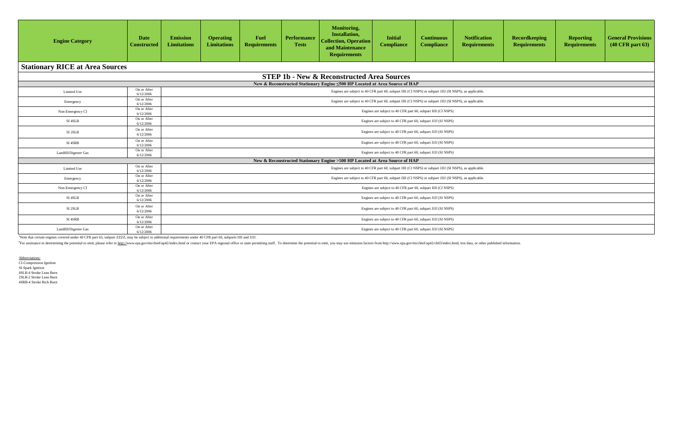| <b>Recordkeeping</b><br><b>Requirements</b> | <b>Reporting</b><br><b>Requirements</b> | <b>General Provisions</b><br>(40 CFR part 63) |
|---------------------------------------------|-----------------------------------------|-----------------------------------------------|
|                                             |                                         |                                               |
|                                             |                                         |                                               |
|                                             |                                         |                                               |
|                                             |                                         |                                               |
|                                             |                                         |                                               |
|                                             |                                         |                                               |
|                                             |                                         |                                               |
|                                             |                                         |                                               |
|                                             |                                         |                                               |
|                                             |                                         |                                               |
|                                             |                                         |                                               |
|                                             |                                         |                                               |
|                                             |                                         |                                               |
|                                             |                                         |                                               |
|                                             |                                         |                                               |
|                                             |                                         |                                               |

| <b>Engine Category</b>                 | <b>Date</b><br><b>Constructed</b> | <b>Emission</b><br><b>Limitations</b> | <b>Operating</b><br>Limitations                               | <b>Fuel</b><br><b>Requirements</b> | <b>Performance</b><br><b>Tests</b> | Monitoring,<br>Installation,<br><b>Collection, Operation</b><br>and Maintenance<br><b>Requirements</b> | <b>Initial</b><br><b>Compliance</b>                                                                     | <b>Continuous</b><br><b>Compliance</b> | <b>Notification</b><br><b>Requirements</b> |  |  |
|----------------------------------------|-----------------------------------|---------------------------------------|---------------------------------------------------------------|------------------------------------|------------------------------------|--------------------------------------------------------------------------------------------------------|---------------------------------------------------------------------------------------------------------|----------------------------------------|--------------------------------------------|--|--|
| <b>Stationary RICE at Area Sources</b> |                                   |                                       |                                                               |                                    |                                    |                                                                                                        |                                                                                                         |                                        |                                            |  |  |
|                                        |                                   |                                       |                                                               |                                    |                                    | <b>STEP 1b - New &amp; Reconstructed Area Sources</b>                                                  |                                                                                                         |                                        |                                            |  |  |
|                                        |                                   |                                       |                                                               |                                    |                                    | New & Reconstructed Stationary Engine <500 HP Located at Area Source of HAP                            |                                                                                                         |                                        |                                            |  |  |
| Limited Use                            | On or After<br>6/12/2006          |                                       |                                                               |                                    |                                    |                                                                                                        | Engines are subject to 40 CFR part 60, subpart IIII (CI NSPS) or subpart JJJJ (SI NSPS), as applicable. |                                        |                                            |  |  |
| Emergency                              | On or After<br>6/12/2006          |                                       |                                                               |                                    |                                    |                                                                                                        | Engines are subject to 40 CFR part 60, subpart IIII (CI NSPS) or subpart JJJJ (SI NSPS), as applicable. |                                        |                                            |  |  |
| Non-Emergency CI                       | On or After<br>6/12/2006          |                                       |                                                               |                                    |                                    |                                                                                                        | Engines are subject to 40 CFR part 60, subpart IIII (CI NSPS)                                           |                                        |                                            |  |  |
| SI 4SLB                                | On or After<br>6/12/2006          |                                       | Engines are subject to 40 CFR part 60, subpart JJJJ (SI NSPS) |                                    |                                    |                                                                                                        |                                                                                                         |                                        |                                            |  |  |
| SI 2SLB                                | On or After<br>6/12/2006          |                                       |                                                               |                                    |                                    |                                                                                                        | Engines are subject to 40 CFR part 60, subpart JJJJ (SI NSPS)                                           |                                        |                                            |  |  |
| SI 4SRB                                | On or After<br>6/12/2006          |                                       |                                                               |                                    |                                    |                                                                                                        | Engines are subject to 40 CFR part 60, subpart JJJJ (SI NSPS)                                           |                                        |                                            |  |  |
| Landfill/Digester Gas                  | On or After<br>6/12/2006          |                                       |                                                               |                                    |                                    |                                                                                                        | Engines are subject to 40 CFR part 60, subpart JJJJ (SI NSPS)                                           |                                        |                                            |  |  |
|                                        |                                   |                                       |                                                               |                                    |                                    | New & Reconstructed Stationary Engine >500 HP Located at Area Source of HAP                            |                                                                                                         |                                        |                                            |  |  |
| Limited Use                            | On or After<br>6/12/2006          |                                       |                                                               |                                    |                                    |                                                                                                        | Engines are subject to 40 CFR part 60, subpart IIII (CI NSPS) or subpart JJJJ (SI NSPS), as applicable. |                                        |                                            |  |  |
| Emergency                              | On or After<br>6/12/2006          |                                       |                                                               |                                    |                                    |                                                                                                        | Engines are subject to 40 CFR part 60, subpart IIII (CI NSPS) or subpart JJJJ (SI NSPS), as applicable. |                                        |                                            |  |  |
| Non-Emergency CI                       | On or After<br>6/12/2006          |                                       |                                                               |                                    |                                    |                                                                                                        | Engines are subject to 40 CFR part 60, subpart IIII (CI NSPS)                                           |                                        |                                            |  |  |
| SI 4SLB                                | On or After<br>6/12/2006          |                                       |                                                               |                                    |                                    |                                                                                                        | Engines are subject to 40 CFR part 60, subpart JJJJ (SI NSPS)                                           |                                        |                                            |  |  |
| SI 2SLB                                | On or After<br>6/12/2006          |                                       |                                                               |                                    |                                    |                                                                                                        | Engines are subject to 40 CFR part 60, subpart JJJJ (SI NSPS)                                           |                                        |                                            |  |  |
| SI 4SRB                                | On or After<br>6/12/2006          |                                       |                                                               |                                    |                                    |                                                                                                        | Engines are subject to 40 CFR part 60, subpart JJJJ (SI NSPS)                                           |                                        |                                            |  |  |
| Landfill/Digester Gas                  | On or After<br>6/12/2006          |                                       |                                                               |                                    |                                    |                                                                                                        | Engines are subject to 40 CFR part 60, subpart JJJJ (SI NSPS)                                           |                                        |                                            |  |  |

<sup>b</sup>For assistance in determining the potential to emit, please refer to http://www.epa.gov/ttn/chief/ap42/index.html or contact your EPA regional office or state permitting staff. To determine the potential to emit, you ma

Abbreviations:

CI-Compression Ignition SI-Spark Ignition 4SLB-4 Stroke Lean Burn 2SLB-2 Stroke Lean Burn 4SRB-4 Stroke Rich Burn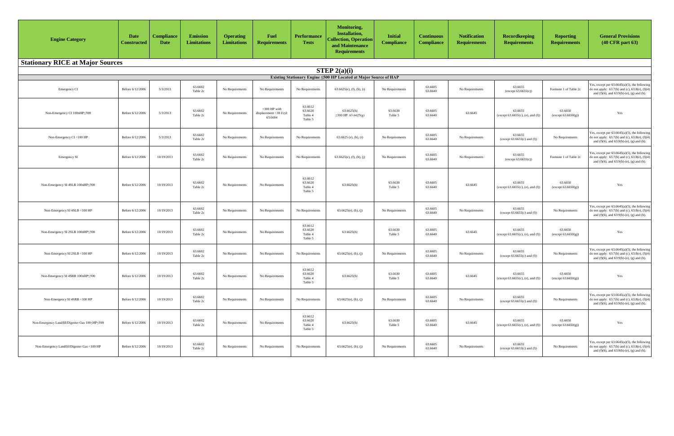| <b>Engine Category</b>                                                              | <b>Date</b><br><b>Constructed</b> | <b>Compliance</b><br><b>Date</b> | <b>Emission</b><br><b>Limitations</b> | <b>Operating</b><br><b>Limitations</b> | <b>Fuel</b><br><b>Requirements</b>                   | <b>Performance</b><br><b>Tests</b>       | <b>Monitoring,</b><br>Installation,<br><b>Collection, Operation</b><br>and Maintenance<br><b>Requirements</b> | <b>Initial</b><br><b>Compliance</b> | <b>Continuous</b><br><b>Compliance</b> | <b>Notification</b><br><b>Requirements</b> | Recordkeeping<br><b>Requirements</b>            | <b>Reporting</b><br><b>Requirements</b> | <b>General Provisions</b><br>$(40 \text{ CFR part } 63)$                                                                                                         |
|-------------------------------------------------------------------------------------|-----------------------------------|----------------------------------|---------------------------------------|----------------------------------------|------------------------------------------------------|------------------------------------------|---------------------------------------------------------------------------------------------------------------|-------------------------------------|----------------------------------------|--------------------------------------------|-------------------------------------------------|-----------------------------------------|------------------------------------------------------------------------------------------------------------------------------------------------------------------|
| <b>Stationary RICE at Major Sources</b>                                             |                                   |                                  |                                       |                                        |                                                      |                                          |                                                                                                               |                                     |                                        |                                            |                                                 |                                         |                                                                                                                                                                  |
| STEP $2(a)(i)$<br>Existing Stationary Engine ≤500 HP Located at Major Source of HAP |                                   |                                  |                                       |                                        |                                                      |                                          |                                                                                                               |                                     |                                        |                                            |                                                 |                                         |                                                                                                                                                                  |
|                                                                                     |                                   |                                  |                                       |                                        |                                                      |                                          |                                                                                                               |                                     |                                        |                                            |                                                 |                                         |                                                                                                                                                                  |
| Emergency CI                                                                        | Before 6/12/2006                  | 5/3/2013                         | 63.6602<br>Table 2c                   | No Requirements                        | No Requirements                                      | No Requirements                          | $63.6625(e)$ , (f), (h), (i)                                                                                  | No Requirements                     | 63.6605<br>63.6640                     | No Requirements                            | 63.6655<br>(except $63.6655(c)$ )               | Footnote 1 of Table 2c                  | Yes, except per $63.6645(a)(5)$ , the following<br>do not apply: $63.7(b)$ and (c), $63.8(e)$ , $(f)(4)$<br>and $(f)(6)$ , and $63.9(b)-(e)$ , $(g)$ and $(h)$ . |
| Non-Emergency CI 100≤HP≤500                                                         | Before 6/12/2006                  | 5/3/2013                         | 63.6602<br>Table 2c                   | No Requirements                        | $>300$ HP with<br>displacement <30 l/cyl:<br>63.6604 | 63.6612<br>63.6620<br>Table 4<br>Table 5 | 63.6625(h)<br>$\geq$ 300 HP: 63.6625(g)                                                                       | 63.6630<br>Table 5                  | 63.6605<br>63.6640                     | 63.6645                                    | 63.6655<br>(except $63.6655(c)$ , (e), and (f)) | 63.6650<br>(except 63.6650(g))          | Yes                                                                                                                                                              |
| Non-Emergency CI <100 HP                                                            | Before 6/12/2006                  | 5/3/2013                         | 63.6602<br>Table 2c                   | No Requirements                        | No Requirements                                      | No Requirements                          | $63.6625$ (e), (h), (i)                                                                                       | No Requirements                     | 63.6605<br>63.6640                     | No Requirements                            | 63.6655<br>(except $63.6655(c)$ and $(f)$ )     | No Requirements                         | Yes, except per $63.6645(a)(5)$ , the following<br>do not apply: $63.7(b)$ and (c), $63.8(e)$ , $(f)(4)$<br>and $(f)(6)$ , and $63.9(b)-(e)$ , $(g)$ and $(h)$ . |
| <b>Emergency SI</b>                                                                 | Before 6/12/2006                  | 10/19/2013                       | 63.6602<br>Table 2c                   | No Requirements                        | No Requirements                                      | No Requirements                          | $63.6625(e)$ , (f), (h), (j)                                                                                  | No Requirements                     | 63.6605<br>63.6640                     | No Requirements                            | 63.6655<br>(except $63.6655(c)$ )               | Footnote 1 of Table 2c                  | Yes, except per $63.6645(a)(5)$ , the following<br>do not apply: $63.7(b)$ and (c), $63.8(e)$ , $(f)(4)$<br>and $(f)(6)$ , and $63.9(b)-(e)$ , $(g)$ and $(h)$ . |
| Non-Emergency SI 4SLB 100≤HP≤500                                                    | Before 6/12/2006                  | 10/19/2013                       | 63.6602<br>Table 2c                   | No Requirements                        | No Requirements                                      | 63.6612<br>63.6620<br>Table 4<br>Table 5 | 63.6625(h)                                                                                                    | 63.6630<br>Table 5                  | 63.6605<br>63.6640                     | 63.6645                                    | 63.6655<br>(except $63.6655(c)$ , (e), and (f)) | 63.6650<br>(except 63.6650(g))          | Yes                                                                                                                                                              |
| Non-Emergency SI 4SLB <100 HP                                                       | Before 6/12/2006                  | 10/19/2013                       | 63.6602<br>Table 2c                   | No Requirements                        | No Requirements                                      | No Requirements                          | $63.6625(e)$ , (h), (j)                                                                                       | No Requirements                     | 63.6605<br>63.6640                     | No Requirements                            | 63.6655<br>(except $63.6655(c)$ and $(f)$ )     | No Requirements                         | Yes, except per $63.6645(a)(5)$ , the following<br>do not apply: $63.7(b)$ and (c), $63.8(e)$ , $(f)(4)$<br>and $(f)(6)$ , and $63.9(b)-(e)$ , $(g)$ and $(h)$ . |
| Non-Emergency SI 2SLB 100≤HP≤500                                                    | Before 6/12/2006                  | 10/19/2013                       | 63.6602<br>Table 2c                   | No Requirements                        | No Requirements                                      | 63.6612<br>63.6620<br>Table 4<br>Table 5 | 63.6625(h)                                                                                                    | 63.6630<br>Table 5                  | 63.6605<br>63.6640                     | 63.6645                                    | 63.6655<br>(except 63.6655(c), (e), and (f))    | 63.6650<br>(except 63.6650(g))          | Yes                                                                                                                                                              |
| Non-Emergency SI 2SLB <100 HP                                                       | Before 6/12/2006                  | 10/19/2013                       | 63.6602<br>Table 2c                   | No Requirements                        | No Requirements                                      | No Requirements                          | $63.6625(e)$ , (h), (j)                                                                                       | No Requirements                     | 63.6605<br>63.6640                     | No Requirements                            | 63.6655<br>(except $63.6655(c)$ and $(f)$ )     | No Requirements                         | Yes, except per $63.6645(a)(5)$ , the following<br>do not apply: $63.7(b)$ and (c), $63.8(e)$ , $(f)(4)$<br>and $(f)(6)$ , and $63.9(b)-(e)$ , $(g)$ and $(h)$ . |
| Non-Emergency SI 4SRB 100≤HP≤500                                                    | Before 6/12/2006                  | 10/19/2013                       | 63.6602<br>Table 2c                   | No Requirements                        | No Requirements                                      | 63.6612<br>63.6620<br>Table 4<br>Table 5 | 63.6625(h)                                                                                                    | 63.6630<br>Table 5                  | 63.6605<br>63.6640                     | 63.6645                                    | 63.6655<br>(except $63.6655(c)$ , (e), and (f)) | 63.6650<br>(except 63.6650(g))          | Yes                                                                                                                                                              |
| Non-Emergency SI 4SRB <100 HP                                                       | Before 6/12/2006                  | 10/19/2013                       | 63.6602<br>Table 2c                   | No Requirements                        | No Requirements                                      | No Requirements                          | $63.6625(e)$ , (h), (j)                                                                                       | No Requirements                     | 63.6605<br>63.6640                     | No Requirements                            | 63.6655<br>(except $63.6655(c)$ and $(f)$ )     | No Requirements                         | Yes, except per $63.6645(a)(5)$ , the following<br>do not apply: $63.7(b)$ and (c), $63.8(e)$ , $(f)(4)$<br>and $(f)(6)$ , and $63.9(b)-(e)$ , $(g)$ and $(h)$ . |
| Non-Emergency Landfill/Digester Gas 100≤HP≤500                                      | Before 6/12/2006                  | 10/19/2013                       | 63.6602<br>Table 2c                   | No Requirements                        | No Requirements                                      | 63.6612<br>63.6620<br>Table 4<br>Table 5 | 63.6625(h)                                                                                                    | 63.6630<br>Table 5                  | 63.6605<br>63.6640                     | 63.6645                                    | 63.6655<br>(except 63.6655(c), (e), and (f))    | 63.6650<br>(except 63.6650(g))          | Yes                                                                                                                                                              |
| Non-Emergency Landfill/Digester Gas <100 HP                                         | Before 6/12/2006                  | 10/19/2013                       | 63.6602<br>Table 2c                   | No Requirements                        | No Requirements                                      | No Requirements                          | $63.6625(e)$ , (h), (j)                                                                                       | No Requirements                     | 63.6605<br>63.6640                     | No Requirements                            | 63.6655<br>(except $63.6655(c)$ and $(f)$ )     | No Requirements                         | Yes, except per $63.6645(a)(5)$ , the following<br>do not apply: $63.7(b)$ and (c), $63.8(e)$ , $(f)(4)$<br>and $(f)(6)$ , and $63.9(b)-(e)$ , $(g)$ and $(h)$ . |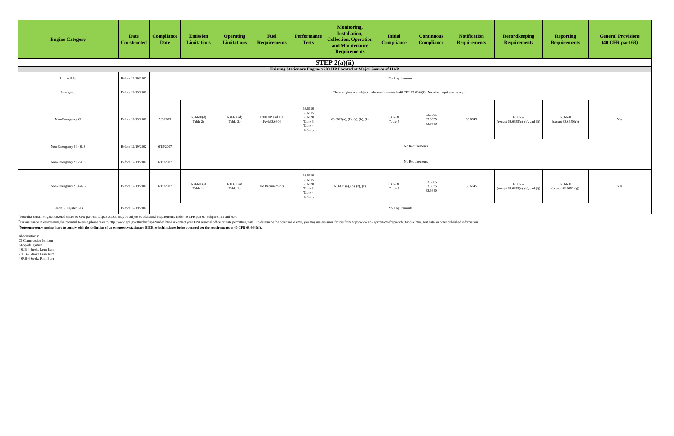| <b>Engine Category</b> | <b>Date</b><br><b>Constructed</b> | <b>Compliance</b><br><b>Date</b> | Emission<br><b>Limitations</b>                                                                   | <b>Operating</b><br><b>Limitations</b> | <b>Fuel</b><br><b>Requirements</b>   | <b>Performance</b><br><b>Tests</b>                             | <b>Monitoring,</b><br>Installation,<br><b>Collection, Operation</b><br>and Maintenance<br><b>Requirements</b> | <b>Initial</b><br><b>Compliance</b> | <b>Continuous</b><br><b>Compliance</b> | <b>Notification</b><br><b>Requirements</b> | Recordkeeping<br><b>Requirements</b>            | <b>Reporting</b><br><b>Requirements</b> | <b>General Provisions</b><br>$(40 \text{ CFR part } 63)$ |
|------------------------|-----------------------------------|----------------------------------|--------------------------------------------------------------------------------------------------|----------------------------------------|--------------------------------------|----------------------------------------------------------------|---------------------------------------------------------------------------------------------------------------|-------------------------------------|----------------------------------------|--------------------------------------------|-------------------------------------------------|-----------------------------------------|----------------------------------------------------------|
|                        |                                   |                                  | STEP $2(a)(ii)$<br>Existing Stationary Engine >500 HP Located at Major Source of HAP             |                                        |                                      |                                                                |                                                                                                               |                                     |                                        |                                            |                                                 |                                         |                                                          |
| Limited Use            | Before 12/19/2002                 |                                  | No Requirements                                                                                  |                                        |                                      |                                                                |                                                                                                               |                                     |                                        |                                            |                                                 |                                         |                                                          |
| Emergency              | Before 12/19/2002                 |                                  | These engines are subject to the requirements in 40 CFR 63.6640(f). No other requirements apply. |                                        |                                      |                                                                |                                                                                                               |                                     |                                        |                                            |                                                 |                                         |                                                          |
| Non-Emergency CI       | Before 12/19/2002                 | 5/3/2013                         | 63.6600(d)<br>Table 2c                                                                           | 63.6600(d)<br>Table 2b                 | $>300$ HP and $<30$<br>l/cyl:63.6604 | 63.6610<br>63.6615<br>63.6620<br>Table 3<br>Table 4<br>Table 5 | $63.6625(a)$ , (b), (g), (h), (k)                                                                             | 63.6630<br>Table 5                  | 63.6605<br>63.6635<br>63.6640          | 63.6645                                    | 63.6655<br>(except $63.6655(c)$ , (e), and (f)) | 63.6650<br>(except 63.6650(g))          | Yes                                                      |
| Non-Emergency SI 4SLB  | Before 12/19/2002                 | 6/15/2007                        |                                                                                                  |                                        |                                      |                                                                |                                                                                                               |                                     | No Requirements                        |                                            |                                                 |                                         |                                                          |
| Non-Emergency SI 2SLB  | Before 12/19/2002                 | 6/15/2007                        |                                                                                                  |                                        |                                      |                                                                |                                                                                                               |                                     | No Requirements                        |                                            |                                                 |                                         |                                                          |
| Non-Emergency SI 4SRB  | Before 12/19/2002                 | 6/15/2007                        | 63.6600(a)<br>Table 1a                                                                           | 63.6600(a)<br>Table 1b                 | No Requirements                      | 63.6610<br>63.6615<br>63.6620<br>Table 3<br>Table 4<br>Table 5 | $63.6625(a)$ , (b), (h), (k)                                                                                  | 63.6630<br>Table 5                  | 63.6605<br>63.6635<br>63.6640          | 63.6645                                    | 63.6655<br>(except $63.6655(c)$ , (e), and (f)) | 63.6650<br>(except 63.6650(g))          | Yes                                                      |
| Landfill/Digester Gas  | Before 12/19/2002                 |                                  |                                                                                                  |                                        |                                      |                                                                |                                                                                                               | No Requirements                     |                                        |                                            |                                                 |                                         |                                                          |

<sup>b</sup>For assistance in determining the potential to emit, please refer to http://www.epa.gov/ttn/chief/ap42/index.html or contact your EPA regional office or state permitting staff. To determine the potential to emit, you ma <sup>c</sup>Note emergency engines have to comply with the definition of an emergency stationary RICE, which includes being operated per the requirements in 40 CFR 63.6640(f).

Abbreviations: CI-Compression Ignition SI-Spark Ignition 4SLB-4 Stroke Lean Burn 2SLB-2 Stroke Lean Burn 4SRB-4 Stroke Rich Burn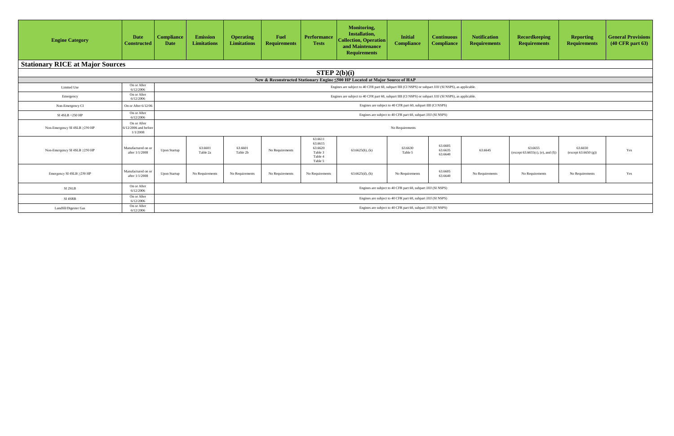| ntinuous<br>npliance          | <b>Notification</b><br><b>Requirements</b> | <b>Recordkeeping</b><br><b>Requirements</b>     | <b>Reporting</b><br><b>Requirements</b> | <b>General Provisions</b><br>(40 CFR part 63) |
|-------------------------------|--------------------------------------------|-------------------------------------------------|-----------------------------------------|-----------------------------------------------|
|                               |                                            |                                                 |                                         |                                               |
|                               |                                            |                                                 |                                         |                                               |
|                               |                                            |                                                 |                                         |                                               |
| (SI NSPS), as applicable.     |                                            |                                                 |                                         |                                               |
| (SI NSPS), as applicable.     |                                            |                                                 |                                         |                                               |
| ISPS)                         |                                            |                                                 |                                         |                                               |
| <b>SPS</b> )                  |                                            |                                                 |                                         |                                               |
|                               |                                            |                                                 |                                         |                                               |
| 63.6605<br>63.6635<br>63.6640 | 63.6645                                    | 63.6655<br>(except $63.6655(c)$ , (e), and (f)) | 63.6650<br>(except 63.6650(g))          | Yes                                           |
| 63.6605<br>63.6640            | No Requirements                            | No Requirements                                 | No Requirements                         | Yes                                           |
| <b>SPS</b> )                  |                                            |                                                 |                                         |                                               |
| (SPS)                         |                                            |                                                 |                                         |                                               |

| <b>Engine Category</b>                  | <b>Date</b><br><b>Constructed</b>                 | <b>Compliance</b><br><b>Date</b> | <b>Emission</b><br><b>Limitations</b> | <b>Operating</b><br><b>Limitations</b> | <b>Fuel</b><br><b>Requirements</b> | <b>Performance</b><br><b>Tests</b>                             | <b>Monitoring,</b><br>Installation,<br><b>Collection, Operation</b><br>and Maintenance<br><b>Requirements</b> | <b>Initial</b><br><b>Compliance</b>                           | <b>Continuous</b><br><b>Compliance</b> | <b>Notification</b><br><b>Requirements</b> |
|-----------------------------------------|---------------------------------------------------|----------------------------------|---------------------------------------|----------------------------------------|------------------------------------|----------------------------------------------------------------|---------------------------------------------------------------------------------------------------------------|---------------------------------------------------------------|----------------------------------------|--------------------------------------------|
| <b>Stationary RICE at Major Sources</b> |                                                   |                                  |                                       |                                        |                                    |                                                                |                                                                                                               |                                                               |                                        |                                            |
|                                         |                                                   |                                  |                                       |                                        |                                    | STEP $2(b)(i)$                                                 |                                                                                                               |                                                               |                                        |                                            |
|                                         |                                                   |                                  |                                       |                                        |                                    |                                                                | New & Reconstructed Stationary Engine <500 HP Located at Major Source of HAP                                  |                                                               |                                        |                                            |
| Limited Use                             | On or After<br>6/12/2006                          |                                  |                                       |                                        |                                    |                                                                | Engines are subject to 40 CFR part 60, subpart IIII (CI NSPS) or subpart JJJJ (SI NSPS), as applicable.       |                                                               |                                        |                                            |
| Emergency                               | On or After<br>6/12/2006                          |                                  |                                       |                                        |                                    |                                                                | Engines are subject to 40 CFR part 60, subpart IIII (CI NSPS) or subpart JJJJ (SI NSPS), as applicable.       |                                                               |                                        |                                            |
| Non-Emergency CI                        | On or After 6/12/06                               |                                  |                                       |                                        |                                    |                                                                |                                                                                                               | Engines are subject to 40 CFR part 60, subpart IIII (CI NSPS) |                                        |                                            |
| SI 4SLB <250 HP                         | On or After<br>6/12/2006                          |                                  |                                       |                                        |                                    |                                                                |                                                                                                               | Engines are subject to 40 CFR part 60, subpart JJJJ (SI NSPS) |                                        |                                            |
| Non-Emergency SI 4SLB ≥250 HP           | On or After<br>$6/12/2006$ and before<br>1/1/2008 |                                  |                                       |                                        |                                    |                                                                |                                                                                                               | No Requirements                                               |                                        |                                            |
| Non-Emergency SI 4SLB ≥250 HP           | Manufactured on or<br>after 1/1/2008              | <b>Upon Startup</b>              | 63.6601<br>Table 2a                   | 63.6601<br>Table 2b                    | No Requirements                    | 63.6611<br>63.6615<br>63.6620<br>Table 3<br>Table 4<br>Table 5 | $63.6625(h)$ , (k)                                                                                            | 63.6630<br>Table 5                                            | 63.6605<br>63.6635<br>63.6640          | 63.6645                                    |
| Emergency SI 4SLB $\geq$ 250 HP         | Manufactured on or<br>after 1/1/2008              | <b>Upon Startup</b>              | No Requirements                       | No Requirements                        | No Requirements                    | No Requirements                                                | $63.6625(d)$ , (h)                                                                                            | No Requirements                                               | 63.6605<br>63.6640                     | No Requirements                            |
| SI <sub>2SLB</sub>                      | On or After<br>6/12/2006                          |                                  |                                       |                                        |                                    |                                                                |                                                                                                               | Engines are subject to 40 CFR part 60, subpart JJJJ (SI NSPS) |                                        |                                            |
| SI 4SRB                                 | On or After<br>6/12/2006                          |                                  |                                       |                                        |                                    |                                                                |                                                                                                               | Engines are subject to 40 CFR part 60, subpart JJJJ (SI NSPS) |                                        |                                            |
| Landfill/Digester Gas                   | On or After<br>6/12/2006                          |                                  |                                       |                                        |                                    |                                                                |                                                                                                               | Engines are subject to 40 CFR part 60, subpart JJJJ (SI NSPS) |                                        |                                            |